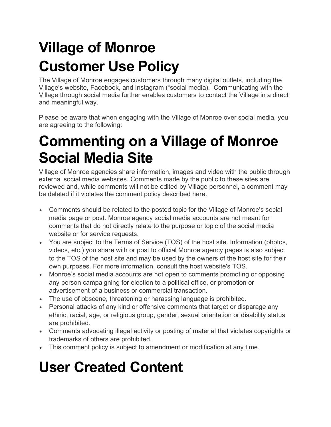## **Village of Monroe Customer Use Policy**

The Village of Monroe engages customers through many digital outlets, including the Village's website, Facebook, and Instagram ("social media). Communicating with the Village through social media further enables customers to contact the Village in a direct and meaningful way.

Please be aware that when engaging with the Village of Monroe over social media, you are agreeing to the following:

## **Commenting on a Village of Monroe Social Media Site**

Village of Monroe agencies share information, images and video with the public through external social media websites. Comments made by the public to these sites are reviewed and, while comments will not be edited by Village personnel, a comment may be deleted if it violates the comment policy described here.

- Comments should be related to the posted topic for the Village of Monroe's social media page or post. Monroe agency social media accounts are not meant for comments that do not directly relate to the purpose or topic of the social media website or for service requests.
- You are subject to the Terms of Service (TOS) of the host site. Information (photos, videos, etc.) you share with or post to official Monroe agency pages is also subject to the TOS of the host site and may be used by the owners of the host site for their own purposes. For more information, consult the host website's TOS.
- Monroe's social media accounts are not open to comments promoting or opposing any person campaigning for election to a political office, or promotion or advertisement of a business or commercial transaction.
- The use of obscene, threatening or harassing language is prohibited.
- Personal attacks of any kind or offensive comments that target or disparage any ethnic, racial, age, or religious group, gender, sexual orientation or disability status are prohibited.
- Comments advocating illegal activity or posting of material that violates copyrights or trademarks of others are prohibited.
- This comment policy is subject to amendment or modification at any time.

## **User Created Content**